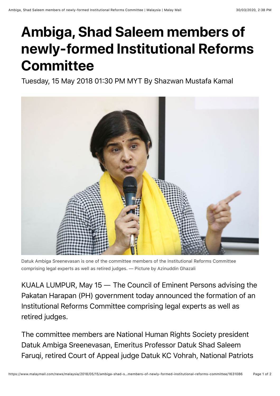## **Ambiga, Shad Saleem members of newly-formed Institutional Reforms Committee**

Tuesday, 15 May 2018 01:30 PM MYT By Shazwan Mustafa Kamal



Datuk Ambiga Sreenevasan is one of the committee members of the Institutional Reforms Committee comprising legal experts as well as retired judges. — Picture by Azinuddin Ghazali

KUALA LUMPUR, May 15 ― The Council of Eminent Persons advising the Pakatan Harapan (PH) government today announced the formation of an Institutional Reforms Committee comprising legal experts as well as retired judges.

The committee members are National Human Rights Society president Datuk Ambiga Sreenevasan, Emeritus Professor Datuk Shad Saleem Faruqi, retired Court of Appeal judge Datuk KC Vohrah, National Patriots